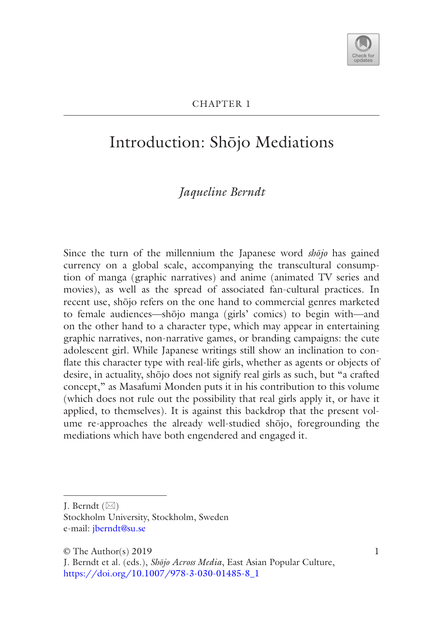

CHAPTER 1

# Introduction: Shōjo Mediations

### *Jaqueline Berndt*

Since the turn of the millennium the Japanese word *shōjo* has gained currency on a global scale, accompanying the transcultural consumption of manga (graphic narratives) and anime (animated TV series and movies), as well as the spread of associated fan-cultural practices. In recent use, shōjo refers on the one hand to commercial genres marketed to female audiences—shōjo manga (girls' comics) to begin with—and on the other hand to a character type, which may appear in entertaining graphic narratives, non-narrative games, or branding campaigns: the cute adolescent girl. While Japanese writings still show an inclination to con flate this character type with real-life girls, whether as agents or objects of desire, in actuality, shōjo does not signify real girls as such, but "a crafted concept," as Masafumi Monden puts it in his contribution to this volume (which does not rule out the possibility that real girls apply it, or have it applied, to themselves). It is against this backdrop that the present volume re-approaches the already well-studied shōjo, foregrounding the mediations which have both engendered and engaged it.

J. Berndt  $(\boxtimes)$ 

Stockholm University, Stockholm, Sweden e-mail: jberndt@su.se

<sup>©</sup> The Author(s) 2019

J. Berndt et al. (eds.), *Shōjo Across Media*, East Asian Popular Culture, https://doi.org/10.1007/978-3-030-01485-8\_1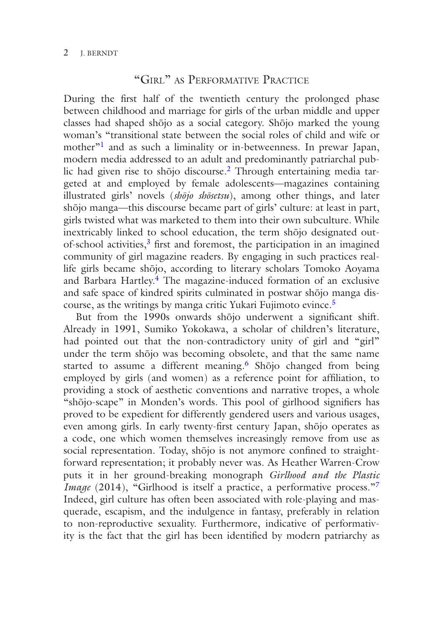## "GIRL" AS PERFORMATIVE PRACTICE

During the first half of the twentieth century the prolonged phase between childhood and marriage for girls of the urban middle and upper classes had shaped shōjo as a social category. Shōjo marked the young woman's "transitional state between the social roles of child and wife or mother"<sup>1</sup> and as such a liminality or in-betweenness. In prewar Japan, modern media addressed to an adult and predominantly patriarchal public had given rise to shōjo discourse.<sup>2</sup> Through entertaining media targeted at and employed by female adolescents—magazines containing illustrated girls' novels (*shōjo shōsetsu*), among other things, and later shōjo manga—this discourse became part of girls' culture: at least in part, girls twisted what was marketed to them into their own subculture. While inextricably linked to school education, the term shōjo designated outof-school activities, $3 \text{ first}$  and foremost, the participation in an imagined community of girl magazine readers. By engaging in such practices reallife girls became shōjo, according to literary scholars Tomoko Aoyama and Barbara Hartley.4 The magazine-induced formation of an exclusive and safe space of kindred spirits culminated in postwar shōjo manga discourse, as the writings by manga critic Yukari Fujimoto evince.5

But from the 1990s onwards shōjo underwent a significant shift. Already in 1991, Sumiko Yokokawa, a scholar of children's literature, had pointed out that the non-contradictory unity of girl and "girl" under the term shōjo was becoming obsolete, and that the same name started to assume a different meaning.<sup>6</sup> Shōjo changed from being employed by girls (and women) as a reference point for affiliation, to providing a stock of aesthetic conventions and narrative tropes, a whole "shōjo-scape" in Monden's words. This pool of girlhood signifiers has proved to be expedient for differently gendered users and various usages, even among girls. In early twenty-first century Japan, shōjo operates as a code, one which women themselves increasingly remove from use as social representation. Today, shōjo is not anymore confined to straightforward representation; it probably never was. As Heather Warren-Crow puts it in her ground-breaking monograph *Girlhood and the Plastic Image* (2014), "Girlhood is itself a practice, a performative process."<sup>7</sup> Indeed, girl culture has often been associated with role-playing and masquerade, escapism, and the indulgence in fantasy, preferably in relation to non-reproductive sexuality. Furthermore, indicative of performativity is the fact that the girl has been identified by modern patriarchy as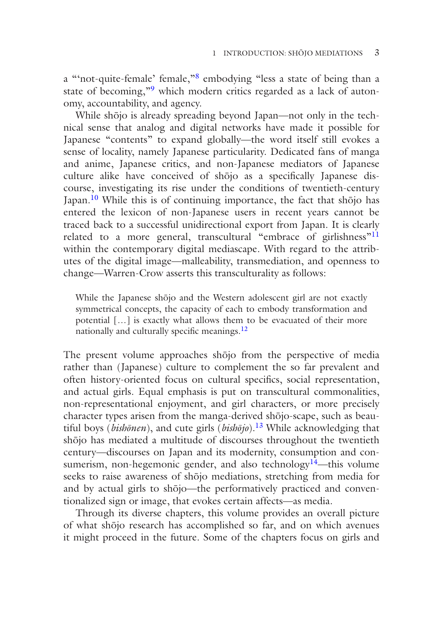a "'not-quite-female' female,"8 embodying "less a state of being than a state of becoming,"<sup>9</sup> which modern critics regarded as a lack of autonomy, accountability, and agency.

While shōjo is already spreading beyond Japan—not only in the technical sense that analog and digital networks have made it possible for Japanese "contents" to expand globally—the word itself still evokes a sense of locality, namely Japanese particularity. Dedicated fans of manga and anime, Japanese critics, and non-Japanese mediators of Japanese culture alike have conceived of shōjo as a specifically Japanese discourse, investigating its rise under the conditions of twentieth-century Japan.10 While this is of continuing importance, the fact that shōjo has entered the lexicon of non-Japanese users in recent years cannot be traced back to a successful unidirectional export from Japan. It is clearly related to a more general, transcultural "embrace of girlishness"<sup>11</sup> within the contemporary digital mediascape. With regard to the attributes of the digital image—malleability, transmediation, and openness to change—Warren-Crow asserts this transculturality as follows:

While the Japanese shōjo and the Western adolescent girl are not exactly symmetrical concepts, the capacity of each to embody transformation and potential […] is exactly what allows them to be evacuated of their more nationally and culturally specific meanings. $^{12}$ 

The present volume approaches shōjo from the perspective of media rather than (Japanese) culture to complement the so far prevalent and often history-oriented focus on cultural specifics, social representation, and actual girls. Equal emphasis is put on transcultural commonalities, non-representational enjoyment, and girl characters, or more precisely character types arisen from the manga-derived shōjo-scape, such as beautiful boys (*bishōnen*), and cute girls (*bishōjo*).13 While acknowledging that shōjo has mediated a multitude of discourses throughout the twentieth century—discourses on Japan and its modernity, consumption and consumerism, non-hegemonic gender, and also technology<sup>14</sup>—this volume seeks to raise awareness of shōjo mediations, stretching from media for and by actual girls to shōjo—the performatively practiced and conventionalized sign or image, that evokes certain affects—as media.

Through its diverse chapters, this volume provides an overall picture of what shōjo research has accomplished so far, and on which avenues it might proceed in the future. Some of the chapters focus on girls and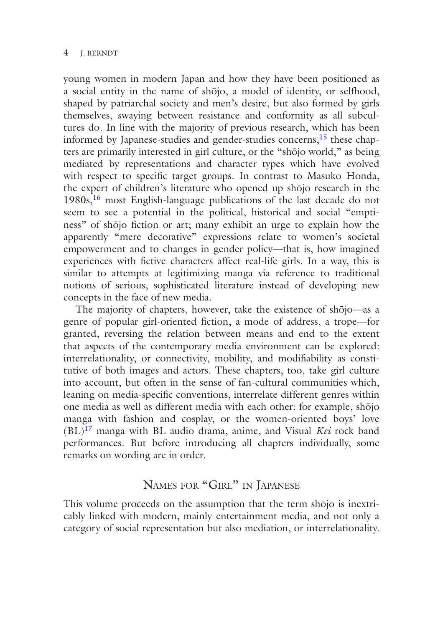young women in modern Japan and how they have been positioned as a social entity in the name of shōjo, a model of identity, or selfhood, shaped by patriarchal society and men's desire, but also formed by girls themselves, swaying between resistance and conformity as all subcultures do. In line with the majority of previous research, which has been informed by Japanese-studies and gender-studies concerns, <sup>15</sup> these chapters are primarily interested in girl culture, or the "shōjo world," as being mediated by representations and character types which have evolved with respect to specific target groups. In contrast to Masuko Honda, the expert of children's literature who opened up shōjo research in the 1980s,16 most English-language publications of the last decade do not seem to see a potential in the political, historical and social "emptiness" of shōjo fiction or art; many exhibit an urge to explain how the apparently "mere decorative" expressions relate to women's societal empowerment and to changes in gender policy—that is, how imagined experiences with fictive characters affect real-life girls. In a way, this is similar to attempts at legitimizing manga via reference to traditional notions of serious, sophisticated literature instead of developing new concepts in the face of new media.

The majority of chapters, however, take the existence of shōjo—as a genre of popular girl-oriented fiction, a mode of address, a trope—for granted, reversing the relation between means and end to the extent that aspects of the contemporary media environment can be explored: interrelationality, or connectivity, mobility, and modifiability as constitutive of both images and actors. These chapters, too, take girl culture into account, but often in the sense of fan-cultural communities which, leaning on media-specific conventions, interrelate different genres within one media as well as different media with each other: for example, shōjo manga with fashion and cosplay, or the women-oriented boys' love (BL)17 manga with BL audio drama, anime, and Visual *Kei* rock band performances. But before introducing all chapters individually, some remarks on wording are in order.

### NAMES FOR "GIRL" IN JAPANESE

This volume proceeds on the assumption that the term shōjo is inextricably linked with modern, mainly entertainment media, and not only a category of social representation but also mediation, or interrelationality.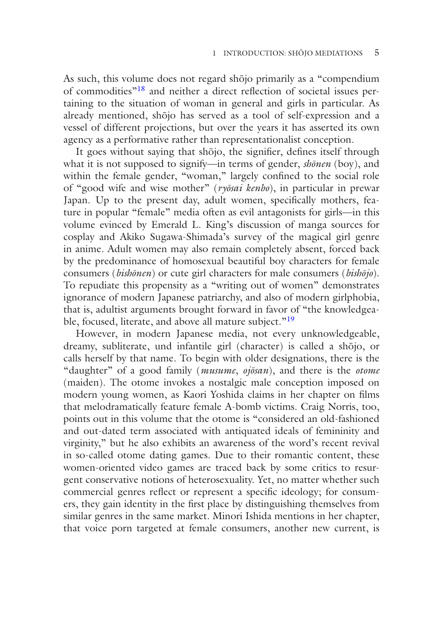As such, this volume does not regard shōjo primarily as a "compendium of commodities"<sup>18</sup> and neither a direct reflection of societal issues pertaining to the situation of woman in general and girls in particular. As already mentioned, shōjo has served as a tool of self-expression and a vessel of different projections, but over the years it has asserted its own agency as a performative rather than representationalist conception.

It goes without saying that shōjo, the signifier, defines itself through what it is not supposed to signify—in terms of gender, *shōnen* (boy), and within the female gender, "woman," largely confined to the social role of "good wife and wise mother" (*ryōsai kenbo*), in particular in prewar Japan. Up to the present day, adult women, specifically mothers, feature in popular "female" media often as evil antagonists for girls—in this volume evinced by Emerald L. King's discussion of manga sources for cosplay and Akiko Sugawa-Shimada's survey of the magical girl genre in anime. Adult women may also remain completely absent, forced back by the predominance of homosexual beautiful boy characters for female consumers (*bishōnen*) or cute girl characters for male consumers (*bishōjo*). To repudiate this propensity as a "writing out of women" demonstrates ignorance of modern Japanese patriarchy, and also of modern girlphobia, that is, adultist arguments brought forward in favor of "the knowledgeable, focused, literate, and above all mature subject."<sup>19</sup>

However, in modern Japanese media, not every unknowledgeable, dreamy, subliterate, und infantile girl (character) is called a shōjo, or calls herself by that name. To begin with older designations, there is the "daughter" of a good family (*musume*, *ojōsan*), and there is the *otome* (maiden). The otome invokes a nostalgic male conception imposed on modern young women, as Kaori Yoshida claims in her chapter on films that melodramatically feature female A-bomb victims. Craig Norris, too, points out in this volume that the otome is "considered an old-fashioned and out-dated term associated with antiquated ideals of femininity and virginity," but he also exhibits an awareness of the word's recent revival in so-called otome dating games. Due to their romantic content, these women-oriented video games are traced back by some critics to resurgent conservative notions of heterosexuality. Yet, no matter whether such commercial genres reflect or represent a specific ideology; for consumers, they gain identity in the first place by distinguishing themselves from similar genres in the same market. Minori Ishida mentions in her chapter, that voice porn targeted at female consumers, another new current, is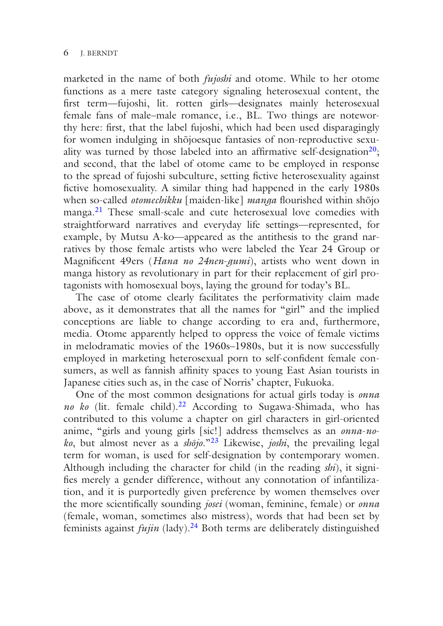marketed in the name of both *fujoshi* and otome. While to her otome functions as a mere taste category signaling heterosexual content, the first term—fujoshi, lit. rotten girls—designates mainly heterosexual female fans of male–male romance, i.e., BL. Two things are noteworthy here: first, that the label fujoshi, which had been used disparagingly for women indulging in shōjoesque fantasies of non-reproductive sexuality was turned by those labeled into an affirmative self-designation<sup>20</sup>; and second, that the label of otome came to be employed in response to the spread of fujoshi subculture, setting fictive heterosexuality against fictive homosexuality. A similar thing had happened in the early 1980s when so-called *otomechikku* [maiden-like] *manga* flourished within shōjo manga.<sup>21</sup> These small-scale and cute heterosexual love comedies with straightforward narratives and everyday life settings—represented, for example, by Mutsu A-ko—appeared as the antithesis to the grand narratives by those female artists who were labeled the Year 24 Group or Magnificent 49ers (*Hana no 24nen-gumi*), artists who went down in manga history as revolutionary in part for their replacement of girl protagonists with homosexual boys, laying the ground for today's BL.

The case of otome clearly facilitates the performativity claim made above, as it demonstrates that all the names for "girl" and the implied conceptions are liable to change according to era and, furthermore, media. Otome apparently helped to oppress the voice of female victims in melodramatic movies of the 1960s–1980s, but it is now successfully employed in marketing heterosexual porn to self-confident female consumers, as well as fannish affinity spaces to young East Asian tourists in Japanese cities such as, in the case of Norris' chapter, Fukuoka.

One of the most common designations for actual girls today is *onna*  no ko (lit. female child).<sup>22</sup> According to Sugawa-Shimada, who has contributed to this volume a chapter on girl characters in girl-oriented anime, "girls and young girls [sic!] address themselves as an *onna*-*noko*, but almost never as a *shōjo*."23 Likewise, *joshi*, the prevailing legal term for woman, is used for self-designation by contemporary women. Although including the character for child (in the reading *shi*), it signi fies merely a gender difference, without any connotation of infantilization, and it is purportedly given preference by women themselves over the more scientifically sounding *josei* (woman, feminine, female) or *onna* (female, woman, sometimes also mistress), words that had been set by feminists against *fujin* (lady).24 Both terms are deliberately distinguished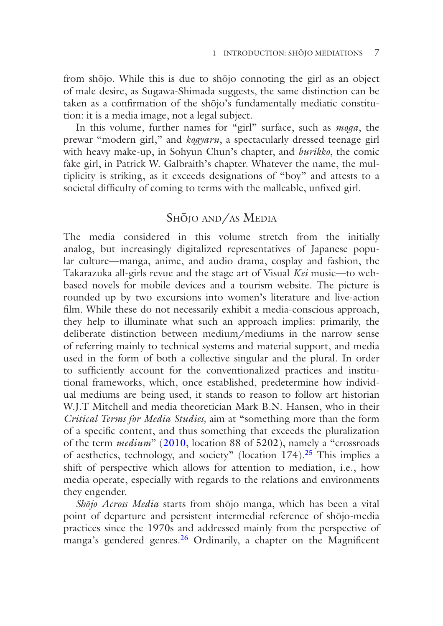from shōjo. While this is due to shōjo connoting the girl as an object of male desire, as Sugawa-Shimada suggests, the same distinction can be taken as a confirmation of the shōjo's fundamentally mediatic constitution: it is a media image, not a legal subject.

In this volume, further names for "girl" surface, such as *moga*, the prewar "modern girl," and *kogyaru*, a spectacularly dressed teenage girl with heavy make-up, in Sohyun Chun's chapter, and *burikko*, the comic fake girl, in Patrick W. Galbraith's chapter. Whatever the name, the multiplicity is striking, as it exceeds designations of "boy" and attests to a societal difficulty of coming to terms with the malleable, unfixed girl.

#### SHōJO AND/AS MEDIA

The media considered in this volume stretch from the initially analog, but increasingly digitalized representatives of Japanese popular culture—manga, anime, and audio drama, cosplay and fashion, the Takarazuka all-girls revue and the stage art of Visual *Kei* music—to webbased novels for mobile devices and a tourism website. The picture is rounded up by two excursions into women's literature and live-action film. While these do not necessarily exhibit a media-conscious approach, they help to illuminate what such an approach implies: primarily, the deliberate distinction between medium/mediums in the narrow sense of referring mainly to technical systems and material support, and media used in the form of both a collective singular and the plural. In order to sufficiently account for the conventionalized practices and institutional frameworks, which, once established, predetermine how individual mediums are being used, it stands to reason to follow art historian W.J.T Mitchell and media theoretician Mark B.N. Hansen, who in their *Critical Terms for Media Studies,* aim at "something more than the form of a specific content, and thus something that exceeds the pluralization of the term *medium*" (2010, location 88 of 5202), namely a "crossroads of aesthetics, technology, and society" (location  $174$ ).<sup>25</sup> This implies a shift of perspective which allows for attention to mediation, i.e., how media operate, especially with regards to the relations and environments they engender.

*Shōjo Across Media* starts from shōjo manga, which has been a vital point of departure and persistent intermedial reference of shōjo-media practices since the 1970s and addressed mainly from the perspective of manga's gendered genres.<sup>26</sup> Ordinarily, a chapter on the Magnificent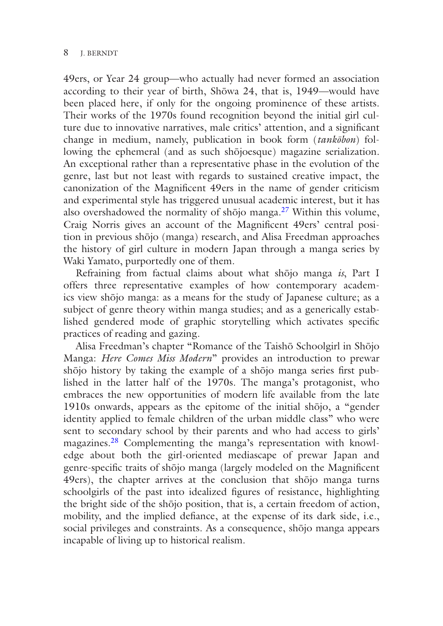49ers, or Year 24 group—who actually had never formed an association according to their year of birth, Shōwa 24, that is, 1949—would have been placed here, if only for the ongoing prominence of these artists. Their works of the 1970s found recognition beyond the initial girl culture due to innovative narratives, male critics' attention, and a significant change in medium, namely, publication in book form (*tankōbon*) following the ephemeral (and as such shōjoesque) magazine serialization. An exceptional rather than a representative phase in the evolution of the genre, last but not least with regards to sustained creative impact, the canonization of the Magnificent 49ers in the name of gender criticism and experimental style has triggered unusual academic interest, but it has also overshadowed the normality of shōjo manga.<sup>27</sup> Within this volume, Craig Norris gives an account of the Magnificent 49ers' central position in previous shōjo (manga) research, and Alisa Freedman approaches the history of girl culture in modern Japan through a manga series by Waki Yamato, purportedly one of them.

Refraining from factual claims about what shōjo manga *is*, Part I offers three representative examples of how contemporary academics view shōjo manga: as a means for the study of Japanese culture; as a subject of genre theory within manga studies; and as a generically established gendered mode of graphic storytelling which activates specific practices of reading and gazing.

Alisa Freedman's chapter "Romance of the Taishō Schoolgirl in Shōjo Manga: *Here Comes Miss Modern*" provides an introduction to prewar shōjo history by taking the example of a shōjo manga series first published in the latter half of the 1970s. The manga's protagonist, who embraces the new opportunities of modern life available from the late 1910s onwards, appears as the epitome of the initial shōjo, a "gender identity applied to female children of the urban middle class" who were sent to secondary school by their parents and who had access to girls' magazines.28 Complementing the manga's representation with knowledge about both the girl-oriented mediascape of prewar Japan and genre-specific traits of shōjo manga (largely modeled on the Magnificent 49ers), the chapter arrives at the conclusion that shōjo manga turns schoolgirls of the past into idealized figures of resistance, highlighting the bright side of the shōjo position, that is, a certain freedom of action, mobility, and the implied defiance, at the expense of its dark side, i.e., social privileges and constraints. As a consequence, shōjo manga appears incapable of living up to historical realism.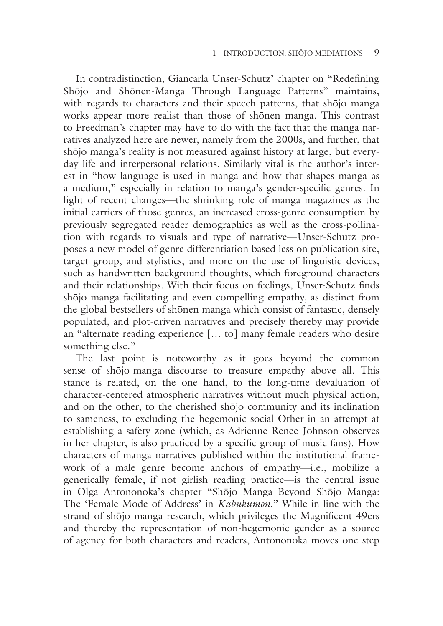In contradistinction, Giancarla Unser-Schutz' chapter on "Redefining" Shōjo and Shōnen-Manga Through Language Patterns" maintains, with regards to characters and their speech patterns, that shōjo manga works appear more realist than those of shōnen manga. This contrast to Freedman's chapter may have to do with the fact that the manga narratives analyzed here are newer, namely from the 2000s, and further, that shōjo manga's reality is not measured against history at large, but everyday life and interpersonal relations. Similarly vital is the author's interest in "how language is used in manga and how that shapes manga as a medium," especially in relation to manga's gender-specific genres. In light of recent changes—the shrinking role of manga magazines as the initial carriers of those genres, an increased cross-genre consumption by previously segregated reader demographics as well as the cross-pollination with regards to visuals and type of narrative—Unser-Schutz proposes a new model of genre differentiation based less on publication site, target group, and stylistics, and more on the use of linguistic devices, such as handwritten background thoughts, which foreground characters and their relationships. With their focus on feelings, Unser-Schutz finds shōjo manga facilitating and even compelling empathy, as distinct from the global bestsellers of shōnen manga which consist of fantastic, densely populated, and plot-driven narratives and precisely thereby may provide an "alternate reading experience [… to] many female readers who desire something else."

The last point is noteworthy as it goes beyond the common sense of shōjo-manga discourse to treasure empathy above all. This stance is related, on the one hand, to the long-time devaluation of character-centered atmospheric narratives without much physical action, and on the other, to the cherished shōjo community and its inclination to sameness, to excluding the hegemonic social Other in an attempt at establishing a safety zone (which, as Adrienne Renee Johnson observes in her chapter, is also practiced by a specific group of music fans). How characters of manga narratives published within the institutional framework of a male genre become anchors of empathy—i.e., mobilize a generically female, if not girlish reading practice—is the central issue in Olga Antononoka's chapter "Shōjo Manga Beyond Shōjo Manga: The 'Female Mode of Address' in *Kabukumon*." While in line with the strand of shōjo manga research, which privileges the Magnificent 49ers and thereby the representation of non-hegemonic gender as a source of agency for both characters and readers, Antononoka moves one step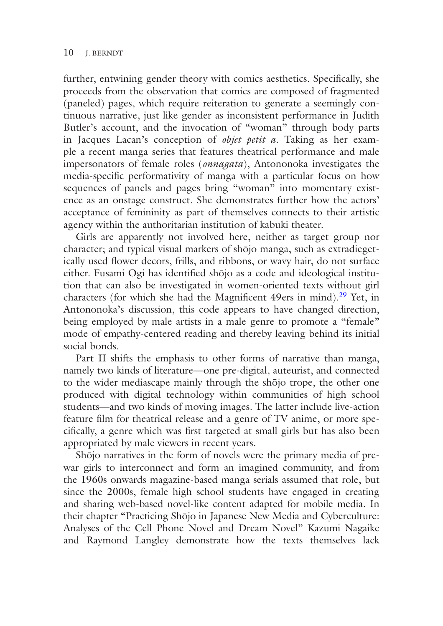further, entwining gender theory with comics aesthetics. Specifically, she proceeds from the observation that comics are composed of fragmented (paneled) pages, which require reiteration to generate a seemingly continuous narrative, just like gender as inconsistent performance in Judith Butler's account, and the invocation of "woman" through body parts in Jacques Lacan's conception of *objet petit a*. Taking as her example a recent manga series that features theatrical performance and male impersonators of female roles (*onnagata*), Antononoka investigates the media-specific performativity of manga with a particular focus on how sequences of panels and pages bring "woman" into momentary existence as an onstage construct. She demonstrates further how the actors' acceptance of femininity as part of themselves connects to their artistic agency within the authoritarian institution of kabuki theater.

Girls are apparently not involved here, neither as target group nor character; and typical visual markers of shōjo manga, such as extradiegetically used flower decors, frills, and ribbons, or wavy hair, do not surface either. Fusami Ogi has identified shōjo as a code and ideological institution that can also be investigated in women-oriented texts without girl characters (for which she had the Magnificent 49ers in mind).<sup>29</sup> Yet, in Antononoka's discussion, this code appears to have changed direction, being employed by male artists in a male genre to promote a "female" mode of empathy-centered reading and thereby leaving behind its initial social bonds.

Part II shifts the emphasis to other forms of narrative than manga, namely two kinds of literature—one pre-digital, auteurist, and connected to the wider mediascape mainly through the shōjo trope, the other one produced with digital technology within communities of high school students—and two kinds of moving images. The latter include live-action feature film for theatrical release and a genre of TV anime, or more specifically, a genre which was first targeted at small girls but has also been appropriated by male viewers in recent years.

Shōjo narratives in the form of novels were the primary media of prewar girls to interconnect and form an imagined community, and from the 1960s onwards magazine-based manga serials assumed that role, but since the 2000s, female high school students have engaged in creating and sharing web-based novel-like content adapted for mobile media. In their chapter "Practicing Shōjo in Japanese New Media and Cyberculture: Analyses of the Cell Phone Novel and Dream Novel" Kazumi Nagaike and Raymond Langley demonstrate how the texts themselves lack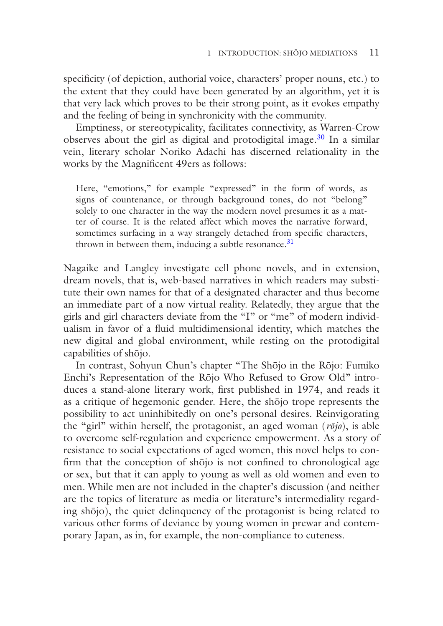specificity (of depiction, authorial voice, characters' proper nouns, etc.) to the extent that they could have been generated by an algorithm, yet it is that very lack which proves to be their strong point, as it evokes empathy and the feeling of being in synchronicity with the community.

Emptiness, or stereotypicality, facilitates connectivity, as Warren-Crow observes about the girl as digital and protodigital image.30 In a similar vein, literary scholar Noriko Adachi has discerned relationality in the works by the Magnificent 49ers as follows:

Here, "emotions," for example "expressed" in the form of words, as signs of countenance, or through background tones, do not "belong" solely to one character in the way the modern novel presumes it as a matter of course. It is the related affect which moves the narrative forward, sometimes surfacing in a way strangely detached from specific characters, thrown in between them, inducing a subtle resonance.<sup>31</sup>

Nagaike and Langley investigate cell phone novels, and in extension, dream novels, that is, web-based narratives in which readers may substitute their own names for that of a designated character and thus become an immediate part of a now virtual reality. Relatedly, they argue that the girls and girl characters deviate from the "I" or "me" of modern individualism in favor of a fluid multidimensional identity, which matches the new digital and global environment, while resting on the protodigital capabilities of shōjo.

In contrast, Sohyun Chun's chapter "The Shōjo in the Rōjo: Fumiko Enchi's Representation of the Rōjo Who Refused to Grow Old" introduces a stand-alone literary work, first published in 1974, and reads it as a critique of hegemonic gender. Here, the shōjo trope represents the possibility to act uninhibitedly on one's personal desires. Reinvigorating the "girl" within herself, the protagonist, an aged woman (*rōjo*), is able to overcome self-regulation and experience empowerment. As a story of resistance to social expectations of aged women, this novel helps to con firm that the conception of shōjo is not confined to chronological age or sex, but that it can apply to young as well as old women and even to men. While men are not included in the chapter's discussion (and neither are the topics of literature as media or literature's intermediality regarding shōjo), the quiet delinquency of the protagonist is being related to various other forms of deviance by young women in prewar and contemporary Japan, as in, for example, the non-compliance to cuteness.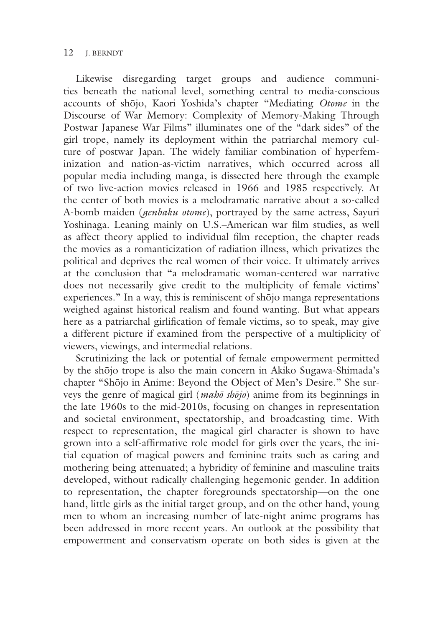Likewise disregarding target groups and audience communities beneath the national level, something central to media-conscious accounts of shōjo, Kaori Yoshida's chapter "Mediating *Otome* in the Discourse of War Memory: Complexity of Memory-Making Through Postwar Japanese War Films" illuminates one of the "dark sides" of the girl trope, namely its deployment within the patriarchal memory culture of postwar Japan. The widely familiar combination of hyperfeminization and nation-as-victim narratives, which occurred across all popular media including manga, is dissected here through the example of two live-action movies released in 1966 and 1985 respectively. At the center of both movies is a melodramatic narrative about a so-called A-bomb maiden (*genbaku otome*), portrayed by the same actress, Sayuri Yoshinaga. Leaning mainly on U.S.–American war film studies, as well as affect theory applied to individual film reception, the chapter reads the movies as a romanticization of radiation illness, which privatizes the political and deprives the real women of their voice. It ultimately arrives at the conclusion that "a melodramatic woman-centered war narrative does not necessarily give credit to the multiplicity of female victims' experiences." In a way, this is reminiscent of shōjo manga representations weighed against historical realism and found wanting. But what appears here as a patriarchal girlification of female victims, so to speak, may give a different picture if examined from the perspective of a multiplicity of viewers, viewings, and intermedial relations.

Scrutinizing the lack or potential of female empowerment permitted by the shōjo trope is also the main concern in Akiko Sugawa-Shimada's chapter "Shōjo in Anime: Beyond the Object of Men's Desire." She surveys the genre of magical girl (*mahō shōjo*) anime from its beginnings in the late 1960s to the mid-2010s, focusing on changes in representation and societal environment, spectatorship, and broadcasting time. With respect to representation, the magical girl character is shown to have grown into a self-affirmative role model for girls over the years, the initial equation of magical powers and feminine traits such as caring and mothering being attenuated; a hybridity of feminine and masculine traits developed, without radically challenging hegemonic gender. In addition to representation, the chapter foregrounds spectatorship—on the one hand, little girls as the initial target group, and on the other hand, young men to whom an increasing number of late-night anime programs has been addressed in more recent years. An outlook at the possibility that empowerment and conservatism operate on both sides is given at the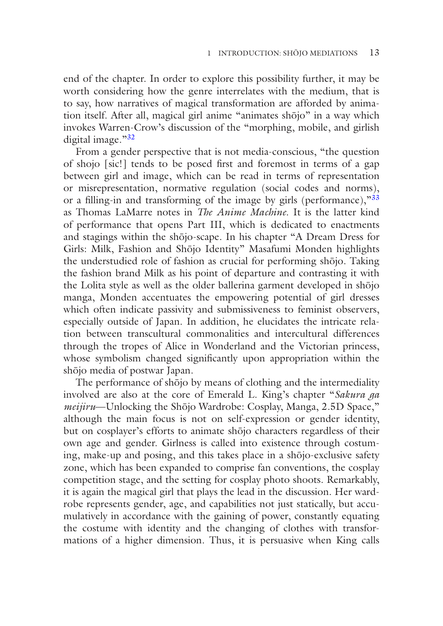end of the chapter. In order to explore this possibility further, it may be worth considering how the genre interrelates with the medium, that is to say, how narratives of magical transformation are afforded by animation itself. After all, magical girl anime "animates shōjo" in a way which invokes Warren-Crow's discussion of the "morphing, mobile, and girlish digital image."32

From a gender perspective that is not media-conscious, "the question of shojo [sic!] tends to be posed first and foremost in terms of a gap between girl and image, which can be read in terms of representation or misrepresentation, normative regulation (social codes and norms), or a filling-in and transforming of the image by girls (performance)," $33$ as Thomas LaMarre notes in *The Anime Machine*. It is the latter kind of performance that opens Part III, which is dedicated to enactments and stagings within the shōjo-scape. In his chapter "A Dream Dress for Girls: Milk, Fashion and Shōjo Identity" Masafumi Monden highlights the understudied role of fashion as crucial for performing shōjo. Taking the fashion brand Milk as his point of departure and contrasting it with the Lolita style as well as the older ballerina garment developed in shōjo manga, Monden accentuates the empowering potential of girl dresses which often indicate passivity and submissiveness to feminist observers, especially outside of Japan. In addition, he elucidates the intricate relation between transcultural commonalities and intercultural differences through the tropes of Alice in Wonderland and the Victorian princess, whose symbolism changed significantly upon appropriation within the shōjo media of postwar Japan.

The performance of shōjo by means of clothing and the intermediality involved are also at the core of Emerald L. King's chapter "*Sakura ga meijiru*—Unlocking the Shōjo Wardrobe: Cosplay, Manga, 2.5D Space," although the main focus is not on self-expression or gender identity, but on cosplayer's efforts to animate shōjo characters regardless of their own age and gender. Girlness is called into existence through costuming, make-up and posing, and this takes place in a shōjo-exclusive safety zone, which has been expanded to comprise fan conventions, the cosplay competition stage, and the setting for cosplay photo shoots. Remarkably, it is again the magical girl that plays the lead in the discussion. Her wardrobe represents gender, age, and capabilities not just statically, but accumulatively in accordance with the gaining of power, constantly equating the costume with identity and the changing of clothes with transformations of a higher dimension. Thus, it is persuasive when King calls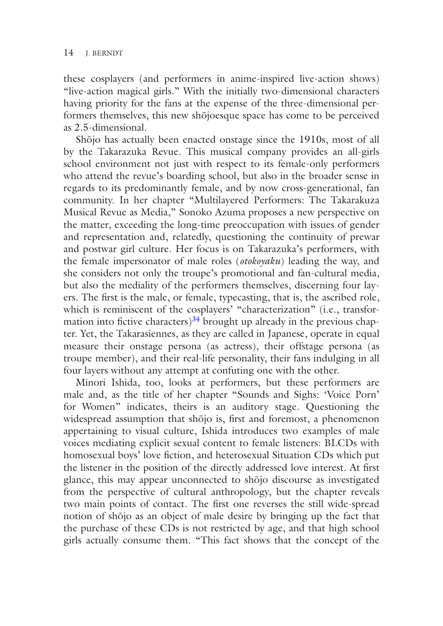these cosplayers (and performers in anime-inspired live-action shows) "live-action magical girls." With the initially two-dimensional characters having priority for the fans at the expense of the three-dimensional performers themselves, this new shōjoesque space has come to be perceived as 2.5-dimensional.

Shōjo has actually been enacted onstage since the 1910s, most of all by the Takarazuka Revue. This musical company provides an all-girls school environment not just with respect to its female-only performers who attend the revue's boarding school, but also in the broader sense in regards to its predominantly female, and by now cross-generational, fan community. In her chapter "Multilayered Performers: The Takarakuza Musical Revue as Media," Sonoko Azuma proposes a new perspective on the matter, exceeding the long-time preoccupation with issues of gender and representation and, relatedly, questioning the continuity of prewar and postwar girl culture. Her focus is on Takarazuka's performers, with the female impersonator of male roles (*otokoyaku*) leading the way, and she considers not only the troupe's promotional and fan-cultural media, but also the mediality of the performers themselves, discerning four layers. The first is the male, or female, typecasting, that is, the ascribed role, which is reminiscent of the cosplayers' "characterization" (i.e., transformation into fictive characters)<sup>34</sup> brought up already in the previous chapter. Yet, the Takarasiennes, as they are called in Japanese, operate in equal measure their onstage persona (as actress), their offstage persona (as troupe member), and their real-life personality, their fans indulging in all four layers without any attempt at confuting one with the other.

Minori Ishida, too, looks at performers, but these performers are male and, as the title of her chapter "Sounds and Sighs: 'Voice Porn' for Women" indicates, theirs is an auditory stage. Questioning the widespread assumption that shōjo is, first and foremost, a phenomenon appertaining to visual culture, Ishida introduces two examples of male voices mediating explicit sexual content to female listeners: BLCDs with homosexual boys' love fiction, and heterosexual Situation CDs which put the listener in the position of the directly addressed love interest. At first glance, this may appear unconnected to shōjo discourse as investigated from the perspective of cultural anthropology, but the chapter reveals two main points of contact. The first one reverses the still wide-spread notion of shōjo as an object of male desire by bringing up the fact that the purchase of these CDs is not restricted by age, and that high school girls actually consume them. "This fact shows that the concept of the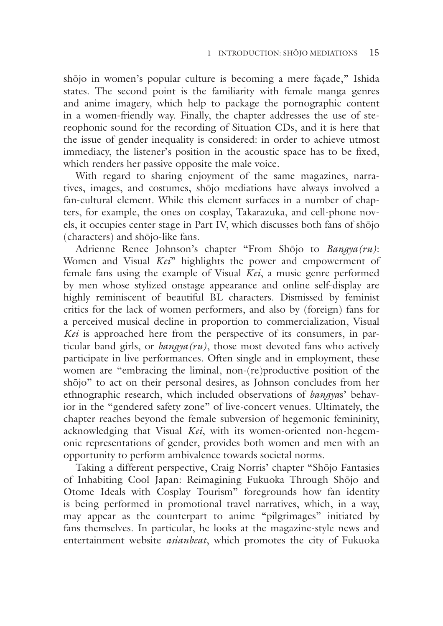shōjo in women's popular culture is becoming a mere façade," Ishida states. The second point is the familiarity with female manga genres and anime imagery, which help to package the pornographic content in a women-friendly way. Finally, the chapter addresses the use of stereophonic sound for the recording of Situation CDs, and it is here that the issue of gender inequality is considered: in order to achieve utmost immediacy, the listener's position in the acoustic space has to be fixed, which renders her passive opposite the male voice.

With regard to sharing enjoyment of the same magazines, narratives, images, and costumes, shōjo mediations have always involved a fan-cultural element. While this element surfaces in a number of chapters, for example, the ones on cosplay, Takarazuka, and cell-phone novels, it occupies center stage in Part IV, which discusses both fans of shōjo (characters) and shōjo-like fans.

Adrienne Renee Johnson's chapter "From Shōjo to *Bangya(ru)*: Women and Visual *Kei*" highlights the power and empowerment of female fans using the example of Visual *Kei*, a music genre performed by men whose stylized onstage appearance and online self-display are highly reminiscent of beautiful BL characters. Dismissed by feminist critics for the lack of women performers, and also by (foreign) fans for a perceived musical decline in proportion to commercialization, Visual *Kei* is approached here from the perspective of its consumers, in particular band girls, or *bangya(ru)*, those most devoted fans who actively participate in live performances. Often single and in employment, these women are "embracing the liminal, non-(re)productive position of the shōjo" to act on their personal desires, as Johnson concludes from her ethnographic research, which included observations of *bangya*s' behavior in the "gendered safety zone" of live-concert venues. Ultimately, the chapter reaches beyond the female subversion of hegemonic femininity, acknowledging that Visual *Kei*, with its women-oriented non-hegemonic representations of gender, provides both women and men with an opportunity to perform ambivalence towards societal norms.

Taking a different perspective, Craig Norris' chapter "Shōjo Fantasies of Inhabiting Cool Japan: Reimagining Fukuoka Through Shōjo and Otome Ideals with Cosplay Tourism" foregrounds how fan identity is being performed in promotional travel narratives, which, in a way, may appear as the counterpart to anime "pilgrimages" initiated by fans themselves. In particular, he looks at the magazine-style news and entertainment website *asianbeat*, which promotes the city of Fukuoka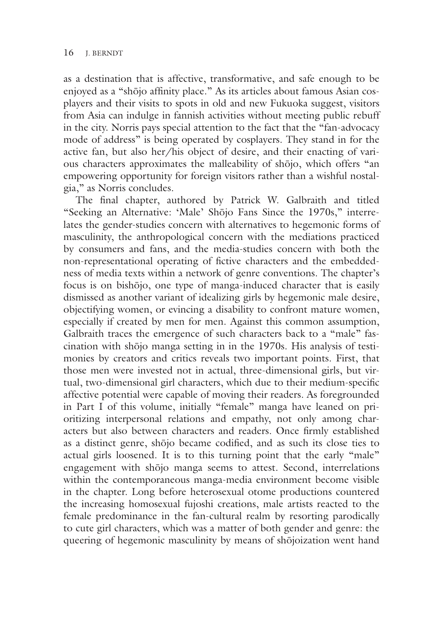as a destination that is affective, transformative, and safe enough to be enjoyed as a "shōjo affinity place." As its articles about famous Asian cosplayers and their visits to spots in old and new Fukuoka suggest, visitors from Asia can indulge in fannish activities without meeting public rebuff in the city. Norris pays special attention to the fact that the "fan-advocacy mode of address" is being operated by cosplayers. They stand in for the active fan, but also her/his object of desire, and their enacting of various characters approximates the malleability of shōjo, which offers "an empowering opportunity for foreign visitors rather than a wishful nostalgia," as Norris concludes.

The final chapter, authored by Patrick W. Galbraith and titled "Seeking an Alternative: 'Male' Shōjo Fans Since the 1970s," interrelates the gender-studies concern with alternatives to hegemonic forms of masculinity, the anthropological concern with the mediations practiced by consumers and fans, and the media-studies concern with both the non-representational operating of fictive characters and the embeddedness of media texts within a network of genre conventions. The chapter's focus is on bishōjo, one type of manga-induced character that is easily dismissed as another variant of idealizing girls by hegemonic male desire, objectifying women, or evincing a disability to confront mature women, especially if created by men for men. Against this common assumption, Galbraith traces the emergence of such characters back to a "male" fascination with shōjo manga setting in in the 1970s. His analysis of testimonies by creators and critics reveals two important points. First, that those men were invested not in actual, three-dimensional girls, but virtual, two-dimensional girl characters, which due to their medium-specific affective potential were capable of moving their readers. As foregrounded in Part I of this volume, initially "female" manga have leaned on prioritizing interpersonal relations and empathy, not only among characters but also between characters and readers. Once firmly established as a distinct genre, shōjo became codified, and as such its close ties to actual girls loosened. It is to this turning point that the early "male" engagement with shōjo manga seems to attest. Second, interrelations within the contemporaneous manga-media environment become visible in the chapter. Long before heterosexual otome productions countered the increasing homosexual fujoshi creations, male artists reacted to the female predominance in the fan-cultural realm by resorting parodically to cute girl characters, which was a matter of both gender and genre: the queering of hegemonic masculinity by means of shōjoization went hand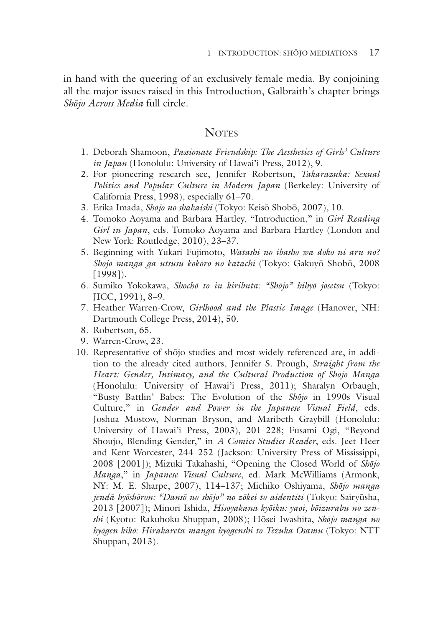in hand with the queering of an exclusively female media. By conjoining all the major issues raised in this Introduction, Galbraith's chapter brings *Shōjo Across Media* full circle.

#### **NOTES**

- 1. Deborah Shamoon, *Passionate Friendship: The Aesthetics of Girls' Culture in Japan* (Honolulu: University of Hawai'i Press, 2012), 9.
- 2. For pioneering research see, Jennifer Robertson, *Takarazuka: Sexual Politics and Popular Culture in Modern Japan* (Berkeley: University of California Press, 1998), especially 61–70.
- 3. Erika Imada, *Shōjo no shakaishi* (Tokyo: Keisō Shobō, 2007), 10.
- 4. Tomoko Aoyama and Barbara Hartley, "Introduction," in *Girl Reading Girl in Japan*, eds. Tomoko Aoyama and Barbara Hartley (London and New York: Routledge, 2010), 23–37.
- 5. Beginning with Yukari Fujimoto, *Watashi no ibasho wa doko ni aru no? Shōjo manga ga utsusu kokoro no katachi* (Tokyo: Gakuyō Shobō, 2008 [1998]).
- 6. Sumiko Yokokawa, *Shochō to iu kiributa: "Shōjo" hihyō josetsu* (Tokyo: JICC, 1991), 8–9.
- 7. Heather Warren-Crow, *Girlhood and the Plastic Image* (Hanover, NH: Dartmouth College Press, 2014), 50.
- 8. Robertson, 65.
- 9. Warren-Crow, 23.
- 10. Representative of shōjo studies and most widely referenced are, in addition to the already cited authors, Jennifer S. Prough, *Straight from the Heart: Gender, Intimacy, and the Cultural Production of Shojo Manga* (Honolulu: University of Hawai'i Press, 2011); Sharalyn Orbaugh, "Busty Battlin' Babes: The Evolution of the *Shōjo* in 1990s Visual Culture," in *Gender and Power in the Japanese Visual Field*, eds. Joshua Mostow, Norman Bryson, and Maribeth Graybill (Honolulu: University of Hawai'i Press, 2003), 201–228; Fusami Ogi, "Beyond Shoujo, Blending Gender," in *A Comics Studies Reader*, eds. Jeet Heer and Kent Worcester, 244–252 (Jackson: University Press of Mississippi, 2008 [2001]); Mizuki Takahashi, "Opening the Closed World of *Shōjo Manga*," in *Japanese Visual Culture*, ed. Mark McWilliams (Armonk, NY: M. E. Sharpe, 2007), 114–137; Michiko Oshiyama, *Shōjo manga jendā hyōshōron: "Dansō no shōjo" no zōkei to aidentiti* (Tokyo: Sairyūsha, 2013 [2007]); Minori Ishida, *Hisoyakana kyōiku: yaoi, bōizurabu no zenshi* (Kyoto: Rakuhoku Shuppan, 2008); Hōsei Iwashita, *Shōjo manga no hyōgen kikō: Hirakareta manga hyōgenshi to Tezuka Osamu* (Tokyo: NTT Shuppan, 2013).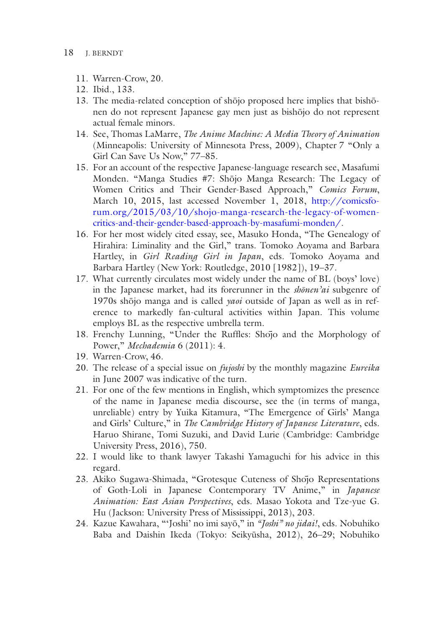- 11. Warren-Crow, 20.
- 12. Ibid., 133.
- 13. The media-related conception of shōjo proposed here implies that bishōnen do not represent Japanese gay men just as bishōjo do not represent actual female minors.
- 14. See, Thomas LaMarre, *The Anime Machine: A Media Theory of Animation* (Minneapolis: University of Minnesota Press, 2009), Chapter 7 "Only a Girl Can Save Us Now," 77–85.
- 15. For an account of the respective Japanese-language research see, Masafumi Monden. "Manga Studies #7: Shōjo Manga Research: The Legacy of Women Critics and Their Gender-Based Approach," *Comics Forum*, March 10, 2015, last accessed November 1, 2018, http://comicsforum.org/2015/03/10/shojo-manga-research-the-legacy-of-womencritics-and-their-gender-based-approach-by-masafumi-monden/.
- 16. For her most widely cited essay, see, Masuko Honda, "The Genealogy of Hirahira: Liminality and the Girl," trans. Tomoko Aoyama and Barbara Hartley, in *Girl Reading Girl in Japan*, eds. Tomoko Aoyama and Barbara Hartley (New York: Routledge, 2010 [1982]), 19–37.
- 17. What currently circulates most widely under the name of BL (boys' love) in the Japanese market, had its forerunner in the *shōnen'ai* subgenre of 1970s shōjo manga and is called *yaoi* outside of Japan as well as in reference to markedly fan-cultural activities within Japan. This volume employs BL as the respective umbrella term.
- 18. Frenchy Lunning, "Under the Ruffles: Shojo and the Morphology of Power," *Mechademia* 6 (2011): 4.
- 19. Warren-Crow, 46.
- 20. The release of a special issue on *fujoshi* by the monthly magazine *Eureika* in June 2007 was indicative of the turn.
- 21. For one of the few mentions in English, which symptomizes the presence of the name in Japanese media discourse, see the (in terms of manga, unreliable) entry by Yuika Kitamura, "The Emergence of Girls' Manga and Girls' Culture," in *The Cambridge History of Japanese Literature*, eds. Haruo Shirane, Tomi Suzuki, and David Lurie (Cambridge: Cambridge University Press, 2016), 750.
- 22. I would like to thank lawyer Takashi Yamaguchi for his advice in this regard.
- 23. Akiko Sugawa-Shimada, "Grotesque Cuteness of Shojo Representations of Goth-Loli in Japanese Contemporary TV Anime," in *Japanese Animation: East Asian Perspectives*, eds. Masao Yokota and Tze-yue G. Hu (Jackson: University Press of Mississippi, 2013), 203.
- 24. Kazue Kawahara, "'Joshi' no imi sayō," in *"Joshi" no jidai!*, eds. Nobuhiko Baba and Daishin Ikeda (Tokyo: Seikyūsha, 2012), 26–29; Nobuhiko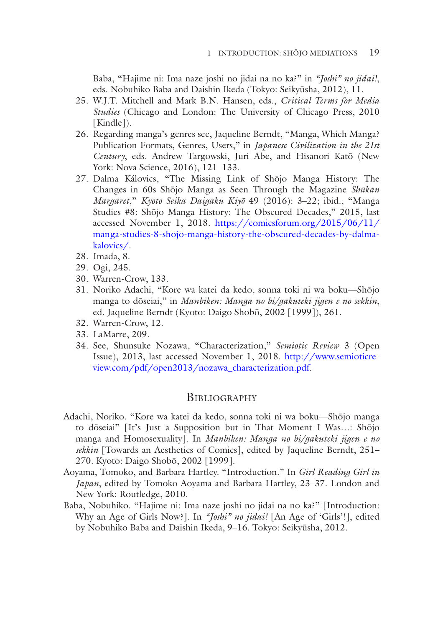Baba, "Hajime ni: Ima naze joshi no jidai na no ka?" in *"Joshi" no jidai!*, eds. Nobuhiko Baba and Daishin Ikeda (Tokyo: Seikyūsha, 2012), 11.

- 25. W.J.T. Mitchell and Mark B.N. Hansen, eds., *Critical Terms for Media Studies* (Chicago and London: The University of Chicago Press, 2010 [Kindle]).
- 26. Regarding manga's genres see, Jaqueline Berndt, "Manga, Which Manga? Publication Formats, Genres, Users," in *Japanese Civilization in the 21st Century*, eds. Andrew Targowski, Juri Abe, and Hisanori Katō (New York: Nova Science, 2016), 121–133.
- 27. Dalma Kálovics, "The Missing Link of Shōjo Manga History: The Changes in 60s Shōjo Manga as Seen Through the Magazine *Shūkan Margaret*," *Kyoto Seika Daigaku Kiyō* 49 (2016): 3–22; ibid., "Manga Studies #8: Shōjo Manga History: The Obscured Decades," 2015, last accessed November 1, 2018. https://comicsforum.org/2015/06/11/ manga-studies-8-shojo-manga-history-the-obscured-decades-by-dalmakalovics/.
- 28. Imada, 8.
- 29. Ogi, 245.
- 30. Warren-Crow, 133.
- 31. Noriko Adachi, "Kore wa katei da kedo, sonna toki ni wa boku—Shōjo manga to dōseiai," in *Manbiken: Manga no bi/gakuteki jigen e no sekkin*, ed. Jaqueline Berndt (Kyoto: Daigo Shobō, 2002 [1999]), 261.
- 32. Warren-Crow, 12.
- 33. LaMarre, 209.
- 34. See, Shunsuke Nozawa, "Characterization," *Semiotic Review* 3 (Open Issue), 2013, last accessed November 1, 2018. http://www.semioticreview.com/pdf/open2013/nozawa\_characterization.pdf.

#### **BIBLIOGRAPHY**

- Adachi, Noriko. "Kore wa katei da kedo, sonna toki ni wa boku—Shōjo manga to dōseiai" [It's Just a Supposition but in That Moment I Was…: Shōjo manga and Homosexuality]. In *Manbiken: Manga no bi/gakuteki jigen e no sekkin* [Towards an Aesthetics of Comics], edited by Jaqueline Berndt, 251– 270. Kyoto: Daigo Shobō, 2002 [1999].
- Aoyama, Tomoko, and Barbara Hartley. "Introduction." In *Girl Reading Girl in Japan*, edited by Tomoko Aoyama and Barbara Hartley, 23–37. London and New York: Routledge, 2010.
- Baba, Nobuhiko. "Hajime ni: Ima naze joshi no jidai na no ka?" [Introduction: Why an Age of Girls Now?]. In *"Joshi" no jidai!* [An Age of 'Girls'!], edited by Nobuhiko Baba and Daishin Ikeda, 9–16. Tokyo: Seikyūsha, 2012.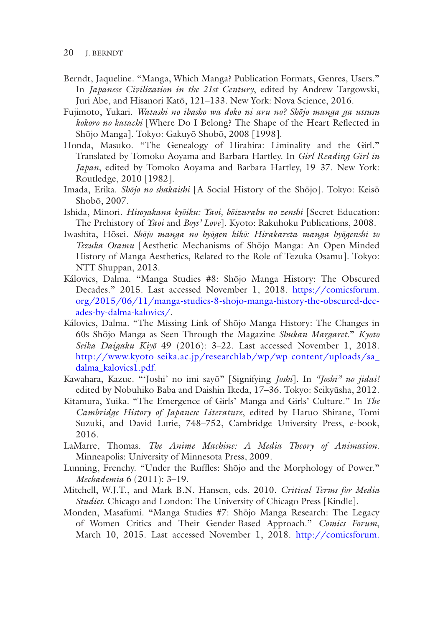- Berndt, Jaqueline. "Manga, Which Manga? Publication Formats, Genres, Users." In *Japanese Civilization in the 21st Century*, edited by Andrew Targowski, Juri Abe, and Hisanori Katō, 121–133. New York: Nova Science, 2016.
- Fujimoto, Yukari. *Watashi no ibasho wa doko ni aru no? Shōjo manga ga utsusu kokoro no katachi* [Where Do I Belong? The Shape of the Heart Reflected in Shōjo Manga]. Tokyo: Gakuyō Shobō, 2008 [1998].
- Honda, Masuko. "The Genealogy of Hirahira: Liminality and the Girl." Translated by Tomoko Aoyama and Barbara Hartley. In *Girl Reading Girl in Japan*, edited by Tomoko Aoyama and Barbara Hartley, 19–37. New York: Routledge, 2010 [1982].
- Imada, Erika. *Shōjo no shakaishi* [A Social History of the Shōjo]. Tokyo: Keisō Shobō, 2007.
- Ishida, Minori. *Hisoyakana kyōiku: Yaoi, bōizurabu no zenshi* [Secret Education: The Prehistory of *Yaoi* and *Boys' Love*]. Kyoto: Rakuhoku Publications, 2008.
- Iwashita, Hōsei. *Shōjo manga no hyōgen kikō: Hirakareta manga hyōgenshi to Tezuka Osamu* [Aesthetic Mechanisms of Shōjo Manga: An Open-Minded History of Manga Aesthetics, Related to the Role of Tezuka Osamu]. Tokyo: NTT Shuppan, 2013.
- Kálovics, Dalma. "Manga Studies #8: Shōjo Manga History: The Obscured Decades." 2015. Last accessed November 1, 2018. https://comicsforum. org/2015/06/11/manga-studies-8-shojo-manga-history-the-obscured-decades-by-dalma-kalovics/.
- Kálovics, Dalma. "The Missing Link of Shōjo Manga History: The Changes in 60s Shōjo Manga as Seen Through the Magazine *Shūkan Margaret*." *Kyoto Seika Daigaku Kiyō* 49 (2016): 3–22. Last accessed November 1, 2018. http://www.kyoto-seika.ac.jp/researchlab/wp/wp-content/uploads/sa\_ dalma\_kalovics1.pdf.
- Kawahara, Kazue. "'Joshi' no imi sayō" [Signifying *Joshi*]. In *"Joshi" no jidai!* edited by Nobuhiko Baba and Daishin Ikeda, 17–36. Tokyo: Seikyūsha, 2012.
- Kitamura, Yuika. "The Emergence of Girls' Manga and Girls' Culture." In *The Cambridge History of Japanese Literature*, edited by Haruo Shirane, Tomi Suzuki, and David Lurie, 748–752, Cambridge University Press, e-book, 2016.
- LaMarre, Thomas. *The Anime Machine: A Media Theory of Animation*. Minneapolis: University of Minnesota Press, 2009.
- Lunning, Frenchy. "Under the Ruffles: Shōjo and the Morphology of Power." *Mechademia* 6 (2011): 3–19.
- Mitchell, W.J.T., and Mark B.N. Hansen, eds. 2010. *Critical Terms for Media Studies*. Chicago and London: The University of Chicago Press [Kindle].
- Monden, Masafumi. "Manga Studies #7: Shōjo Manga Research: The Legacy of Women Critics and Their Gender-Based Approach." *Comics Forum*, March 10, 2015. Last accessed November 1, 2018. http://comicsforum.